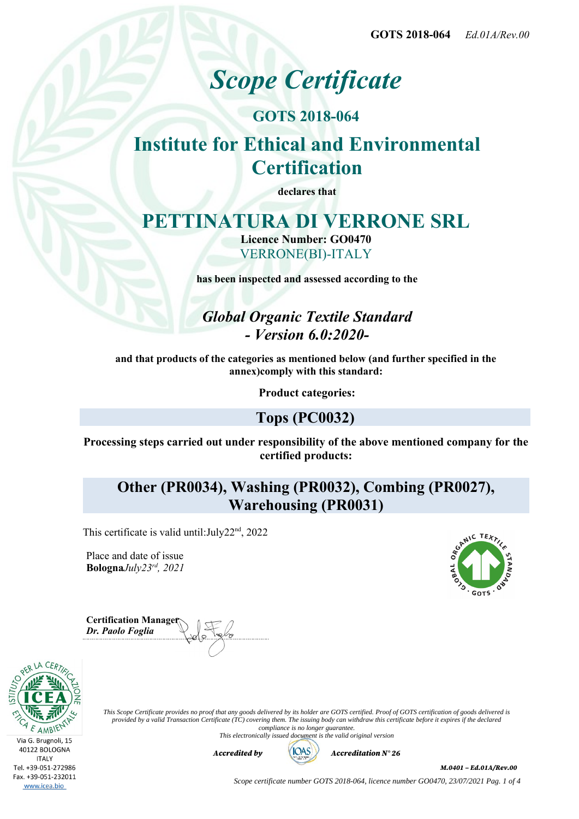**GOTS 2018-064** *Ed.01A/Rev.00*

# *Scope Certificate*

## **GOTS 2018-064**

# **Institute for Ethical and Environmental Certification**

**declares that**

# **PETTINATURA DI VERRONE SRL**

**Licence Number: GO0470** VERRONE(BI)-ITALY

**has been inspected and assessed according to the**

*Global Organic Textile Standard - Version 6.0:2020-*

**and that products of the categories as mentioned below (and further specified in the annex)comply with this standard:**

**Product categories:**

### **Tops (PC0032)**

**Processing steps carried out under responsibility of the above mentioned company for the certified products:**

**Other (PR0034), Washing (PR0032), Combing (PR0027), Warehousing (PR0031)**

This certificate is valid until: July22<sup>nd</sup>, 2022

Place and date of issue **Bologna***July23rd, 2021*



**Certification Manager** *Dr. Paolo Foglia*



*This Scope Certificate provides no proof that any goods delivered by its holder are GOTS certified. Proof of GOTS certification of goods delivered is provided by a valid Transaction Certificate (TC) covering them. The issuing body can withdraw this certificate before it expires if the declared compliance is no longer guarantee.*

*This electronically issued document is the valid original version*



*Accredited by Accreditation N° 26*

*M.0401 – Ed.01A/Rev.00*

*Scope certificate number GOTS 2018-064, licence number GO0470, 23/07/2021 Pag. 1 of 4*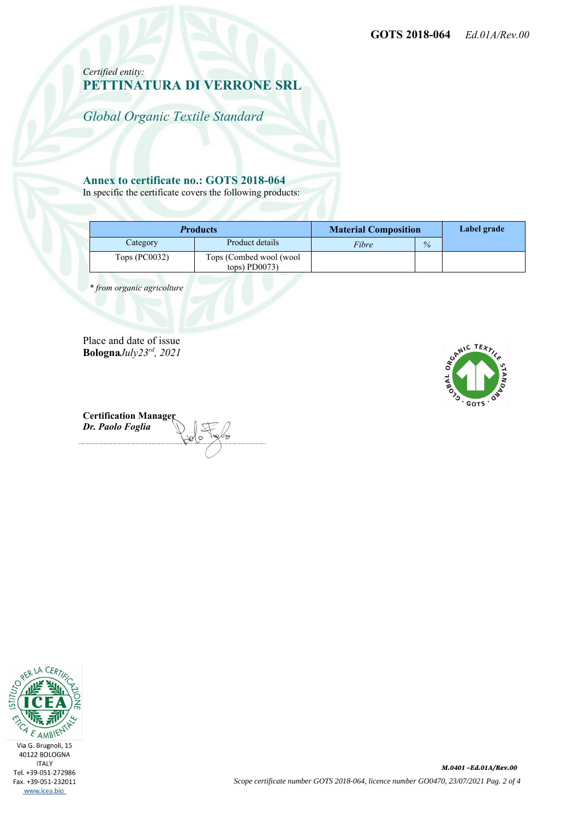*Certified entity:* **PETTINATURA DI VERRONE SRL**

*Global Organic Textile Standard*

#### **Annex to certificate no.: GOTS 2018-064**

In specific the certificate covers the following products:

| <b>Products</b> |                                            | <b>Material Composition</b> |      | Label grade |
|-----------------|--------------------------------------------|-----------------------------|------|-------------|
| Category        | Product details                            | Fibre                       | $\%$ |             |
| Tops $(PC0032)$ | Tops (Combed wool (wool<br>$tops)$ PD0073) |                             |      |             |

 *\* from organic agricolture*

Place and date of issue **Bologna***July23rd, 2021*



**Certification Manager** *Dr. Paolo Foglia*

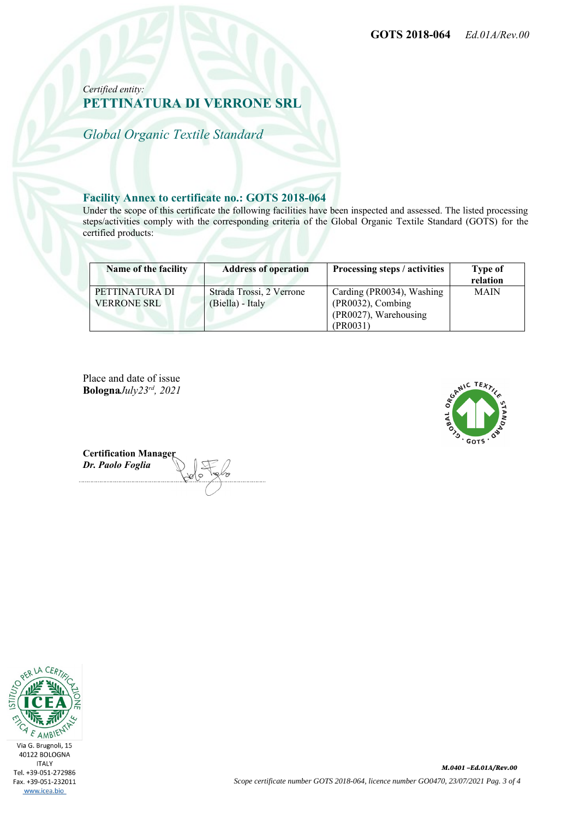#### *Certified entity:* **PETTINATURA DI VERRONE SRL**

*Global Organic Textile Standard*

#### **Facility Annex to certificate no.: GOTS 2018-064**

Under the scope of this certificate the following facilities have been inspected and assessed. The listed processing steps/activities comply with the corresponding criteria of the Global Organic Textile Standard (GOTS) for the certified products:

| Name of the facility                 | <b>Address of operation</b>                  | Processing steps / activities                                                       | <b>Type of</b><br>relation |
|--------------------------------------|----------------------------------------------|-------------------------------------------------------------------------------------|----------------------------|
| PETTINATURA DI<br><b>VERRONE SRL</b> | Strada Trossi, 2 Verrone<br>(Biella) - Italy | Carding (PR0034), Washing<br>(PR0032), Combing<br>(PR0027), Warehousing<br>(PR0031) | <b>MAIN</b>                |

Place and date of issue **Bologna***July23rd, 2021*



**Certification Manager** *Dr. Paolo Foglia*